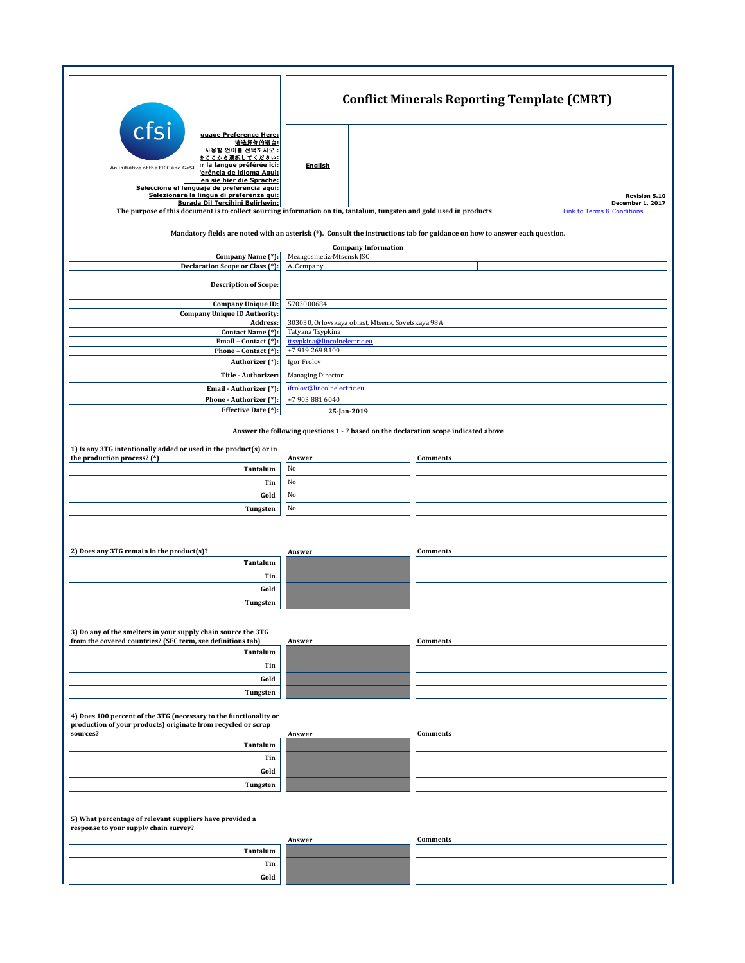|                                                                                                                                                                                                                                                                                                             | <b>Conflict Minerals Reporting Template (CMRT)</b>     |                            |                                                                                     |  |  |
|-------------------------------------------------------------------------------------------------------------------------------------------------------------------------------------------------------------------------------------------------------------------------------------------------------------|--------------------------------------------------------|----------------------------|-------------------------------------------------------------------------------------|--|--|
| cfsi<br>guage Preference Here:<br>请选择你的语言:<br>사용할 언어를 선택하시오 :<br><u>をここから選択してください:</u><br>r la langue préférée ici:<br>An initiative of the EICC and GeSI<br>erência de idioma Aqui:<br>en sie hier die Sprache:<br>Seleccione el lenguaje de preferencia aqui:<br>Selezionare la lingua di preferenza qui: | Enalish                                                |                            | <b>Revision 5.10</b>                                                                |  |  |
| Burada Dil Tercihini Belirleyin:<br>The purpose of this document is to collect sourcing information on tin, tantalum, tungsten and gold used in products                                                                                                                                                    |                                                        |                            | December 1, 2017<br><b>Link to Terms &amp; Conditions</b>                           |  |  |
| Mandatory fields are noted with an asterisk (*). Consult the instructions tab for guidance on how to answer each question.                                                                                                                                                                                  |                                                        |                            |                                                                                     |  |  |
|                                                                                                                                                                                                                                                                                                             |                                                        | <b>Company Information</b> |                                                                                     |  |  |
| Company Name (*):<br><b>Declaration Scope or Class (*):</b>                                                                                                                                                                                                                                                 | Mezhgosmetiz-Mtsensk JSC<br>A. Company                 |                            |                                                                                     |  |  |
| <b>Description of Scope:</b>                                                                                                                                                                                                                                                                                |                                                        |                            |                                                                                     |  |  |
| <b>Company Unique ID:</b>                                                                                                                                                                                                                                                                                   | 5703000684                                             |                            |                                                                                     |  |  |
| <b>Company Unique ID Authority:</b><br>Address:                                                                                                                                                                                                                                                             | 303030, Orlovskaya oblast, Mtsenk, Sovetskaya 98A      |                            |                                                                                     |  |  |
| Contact Name (*):                                                                                                                                                                                                                                                                                           | Tatyana Tsypkina                                       |                            |                                                                                     |  |  |
| Email - Contact (*):                                                                                                                                                                                                                                                                                        | ttsypkina@lincolnelectric.eu                           |                            |                                                                                     |  |  |
| Phone - Contact (*):<br>Authorizer (*):                                                                                                                                                                                                                                                                     | +7 919 269 8100<br>Igor Frolov                         |                            |                                                                                     |  |  |
| Title - Authorizer:                                                                                                                                                                                                                                                                                         |                                                        |                            |                                                                                     |  |  |
|                                                                                                                                                                                                                                                                                                             | <b>Managing Director</b><br>ifrolov@lincolnelectric.eu |                            |                                                                                     |  |  |
| Email - Authorizer (*):<br>Phone - Authorizer (*):                                                                                                                                                                                                                                                          | +7 903 881 6040                                        |                            |                                                                                     |  |  |
| Effective Date (*):                                                                                                                                                                                                                                                                                         |                                                        | 25-Jan-2019                |                                                                                     |  |  |
|                                                                                                                                                                                                                                                                                                             |                                                        |                            | Answer the following questions 1 - 7 based on the declaration scope indicated above |  |  |
| 1) Is any 3TG intentionally added or used in the product(s) or in<br>the production process? (*)                                                                                                                                                                                                            | Answer                                                 |                            | Comments                                                                            |  |  |
| Tantalum                                                                                                                                                                                                                                                                                                    | No                                                     |                            |                                                                                     |  |  |
| Tin                                                                                                                                                                                                                                                                                                         | No                                                     |                            |                                                                                     |  |  |
| Gold                                                                                                                                                                                                                                                                                                        | No                                                     |                            |                                                                                     |  |  |
| Tungsten                                                                                                                                                                                                                                                                                                    | No                                                     |                            |                                                                                     |  |  |
|                                                                                                                                                                                                                                                                                                             |                                                        |                            |                                                                                     |  |  |
| 2) Does any 3TG remain in the product(s)?                                                                                                                                                                                                                                                                   | Answer                                                 |                            | Comments                                                                            |  |  |
| Tantalum                                                                                                                                                                                                                                                                                                    |                                                        |                            |                                                                                     |  |  |
| Tin                                                                                                                                                                                                                                                                                                         |                                                        |                            |                                                                                     |  |  |
| Gold                                                                                                                                                                                                                                                                                                        |                                                        |                            |                                                                                     |  |  |
| Tungsten                                                                                                                                                                                                                                                                                                    |                                                        |                            |                                                                                     |  |  |
| 3) Do any of the smelters in your supply chain source the 3TG<br>from the covered countries? (SEC term, see definitions tab)                                                                                                                                                                                |                                                        |                            | <b>Comments</b>                                                                     |  |  |
| Tantalum                                                                                                                                                                                                                                                                                                    | Answer                                                 |                            |                                                                                     |  |  |
| Tin                                                                                                                                                                                                                                                                                                         |                                                        |                            |                                                                                     |  |  |
| Gold                                                                                                                                                                                                                                                                                                        |                                                        |                            |                                                                                     |  |  |
| Tungsten                                                                                                                                                                                                                                                                                                    |                                                        |                            |                                                                                     |  |  |
| 4) Does 100 percent of the 3TG (necessary to the functionality or                                                                                                                                                                                                                                           |                                                        |                            |                                                                                     |  |  |
| production of your products) originate from recycled or scrap<br>sources?                                                                                                                                                                                                                                   | Answer                                                 |                            | <b>Comments</b>                                                                     |  |  |
| Tantalum                                                                                                                                                                                                                                                                                                    |                                                        |                            |                                                                                     |  |  |
| Tin                                                                                                                                                                                                                                                                                                         |                                                        |                            |                                                                                     |  |  |
| Gold                                                                                                                                                                                                                                                                                                        |                                                        |                            |                                                                                     |  |  |
| Tungsten                                                                                                                                                                                                                                                                                                    |                                                        |                            |                                                                                     |  |  |
| 5) What percentage of relevant suppliers have provided a<br>response to your supply chain survey?                                                                                                                                                                                                           |                                                        |                            |                                                                                     |  |  |
| Tantalum                                                                                                                                                                                                                                                                                                    | Answer                                                 |                            | <b>Comments</b>                                                                     |  |  |
|                                                                                                                                                                                                                                                                                                             |                                                        |                            |                                                                                     |  |  |
| Tin                                                                                                                                                                                                                                                                                                         |                                                        |                            |                                                                                     |  |  |
| Gold                                                                                                                                                                                                                                                                                                        |                                                        |                            |                                                                                     |  |  |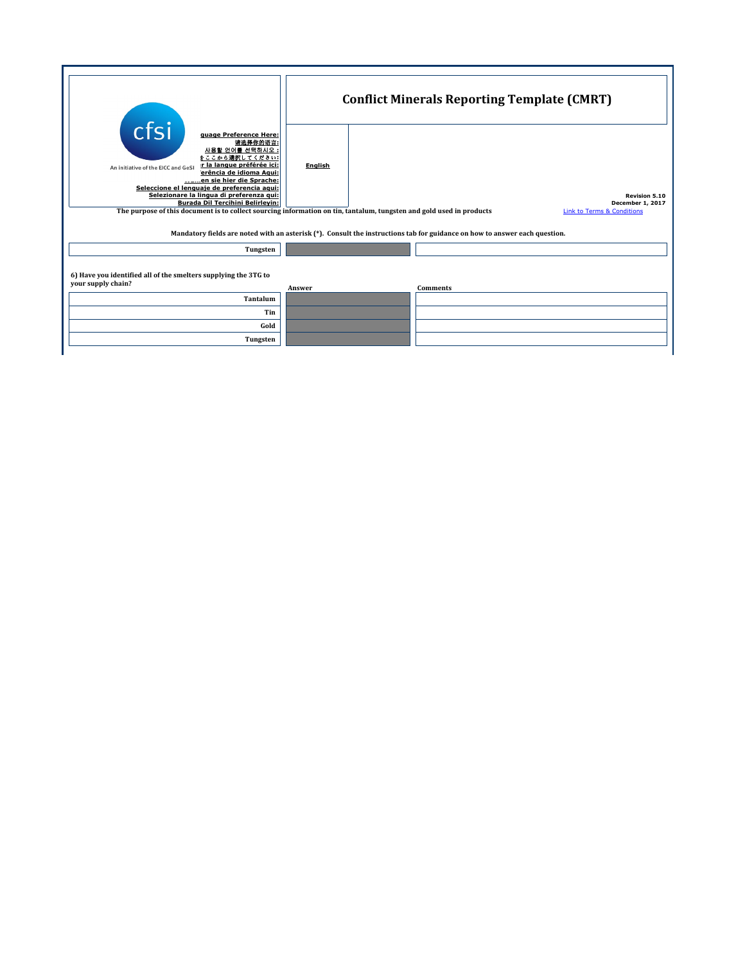| cfsi<br>guage Preference Here:<br>请选择你的语言:<br>사용할 언어를 선택하시오 :<br>をここから選択してください:<br>r la langue préférée ici:<br>An initiative of the EICC and GeSI<br>erência de idioma Agui:<br>en sie hier die Sprache:<br>Seleccione el lenguaje de preferencia aqui:<br>Selezionare la lingua di preferenza qui:<br>Burada Dil Tercihini Belirleyin: | <b>Conflict Minerals Reporting Template (CMRT)</b> |                                                                                   |  |  |  |
|------------------------------------------------------------------------------------------------------------------------------------------------------------------------------------------------------------------------------------------------------------------------------------------------------------------------------------------|----------------------------------------------------|-----------------------------------------------------------------------------------|--|--|--|
|                                                                                                                                                                                                                                                                                                                                          | <b>English</b>                                     | <b>Revision 5.10</b><br>December 1, 2017<br><b>Link to Terms &amp; Conditions</b> |  |  |  |
| The purpose of this document is to collect sourcing information on tin, tantalum, tungsten and gold used in products<br>Mandatory fields are noted with an asterisk $(*)$ . Consult the instructions tab for guidance on how to answer each question.                                                                                    |                                                    |                                                                                   |  |  |  |
| Tungsten                                                                                                                                                                                                                                                                                                                                 |                                                    |                                                                                   |  |  |  |
| 6) Have you identified all of the smelters supplying the 3TG to<br>your supply chain?                                                                                                                                                                                                                                                    | Answer                                             | <b>Comments</b>                                                                   |  |  |  |
| Tantalum                                                                                                                                                                                                                                                                                                                                 |                                                    |                                                                                   |  |  |  |
| Tin                                                                                                                                                                                                                                                                                                                                      |                                                    |                                                                                   |  |  |  |
| Gold                                                                                                                                                                                                                                                                                                                                     |                                                    |                                                                                   |  |  |  |
| Tungsten                                                                                                                                                                                                                                                                                                                                 |                                                    |                                                                                   |  |  |  |